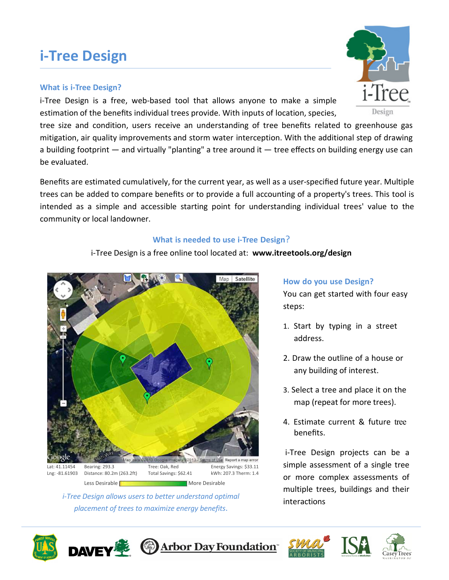### **i‐Tree Design**

### **What is i‐Tree Design?**

i-Tree Design is a free, web-based tool that allows anyone to make a simple estimation of the benefits individual trees provide. With inputs of location, species,

tree size and condition, users receive an understanding of tree benefits related to greenhouse gas mitigation, air quality improvements and storm water interception. With the additional step of drawing a building footprint — and virtually "planting" a tree around it — tree effects on building energy use can be evaluated.

Benefits are estimated cumulatively, for the current year, as well as a user‐specified future year. Multiple trees can be added to compare benefits or to provide a full accounting of a property's trees. This tool is intended as a simple and accessible starting point for understanding individual trees' value to the community or local landowner.

### **What is needed to use i‐Tree Design**?

### i‐Tree Design is a free online tool located at: **www.itreetools.org/design**

Map Satellite



*i*<sub>-</sub>*Tree Design allows users to better understand optimal interactions placement of trees to maximize energy benefits*.

#### **How do you use Design?**

You can get started with four easy steps:

- 1. Start by typing in a street address.
- 2. Draw the outline of a house or any building of interest.
- 3. Select a tree and place it on the map (repeat for more trees).
- 4. Estimate current & future tree benefits.

i‐Tree Design projects can be a simple assessment of a single tree or more complex assessments of multiple trees, buildings and their